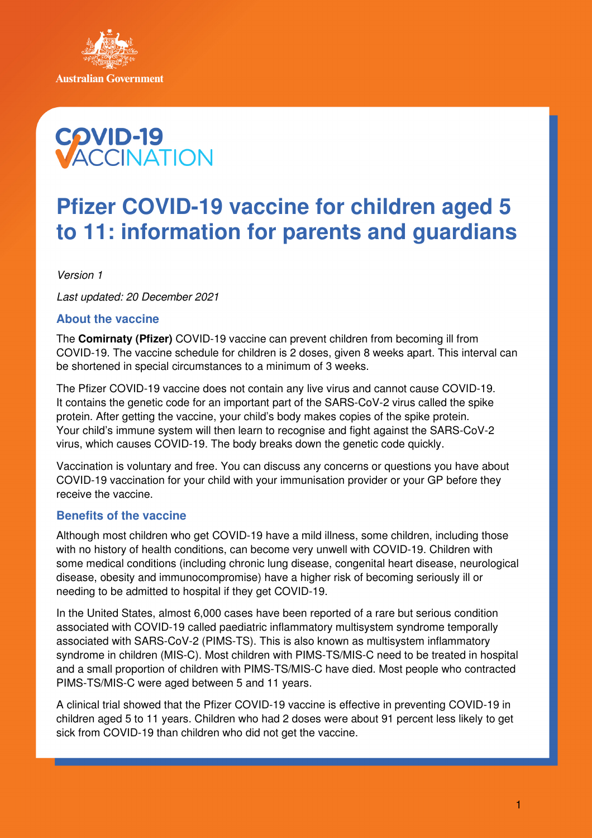



# **Pfizer COVID-19 vaccine for children aged 5 to 11: information for parents and guardians**

Version 1

Last updated: 20 December 2021

## **About the vaccine**

The **Comirnaty (Pfizer)** COVID-19 vaccine can prevent children from becoming ill from COVID-19. The vaccine schedule for children is 2 doses, given 8 weeks apart. This interval can be shortened in special circumstances to a minimum of 3 weeks.

The Pfizer COVID-19 vaccine does not contain any live virus and cannot cause COVID-19. It contains the genetic code for an important part of the SARS-CoV-2 virus called the spike protein. After getting the vaccine, your child's body makes copies of the spike protein. Your child's immune system will then learn to recognise and fight against the SARS-CoV-2 virus, which causes COVID-19. The body breaks down the genetic code quickly.

Vaccination is voluntary and free. You can discuss any concerns or questions you have about COVID-19 vaccination for your child with your immunisation provider or your GP before they receive the vaccine.

## **Benefits of the vaccine**

Although most children who get COVID-19 have a mild illness, some children, including those with no history of health conditions, can become very unwell with COVID-19. Children with some medical conditions (including chronic lung disease, congenital heart disease, neurological disease, obesity and immunocompromise) have a higher risk of becoming seriously ill or needing to be admitted to hospital if they get COVID-19.

In the United States, almost 6,000 cases have been reported of a rare but serious condition associated with COVID-19 called paediatric inflammatory multisystem syndrome temporally associated with SARS-CoV-2 (PIMS-TS). This is also known as multisystem inflammatory syndrome in children (MIS-C). Most children with PIMS-TS/MIS-C need to be treated in hospital and a small proportion of children with PIMS-TS/MIS-C have died. Most people who contracted PIMS-TS/MIS-C were aged between 5 and 11 years.

A clinical trial showed that the Pfizer COVID-19 vaccine is effective in preventing COVID-19 in children aged 5 to 11 years. Children who had 2 doses were about 91 percent less likely to get sick from COVID-19 than children who did not get the vaccine.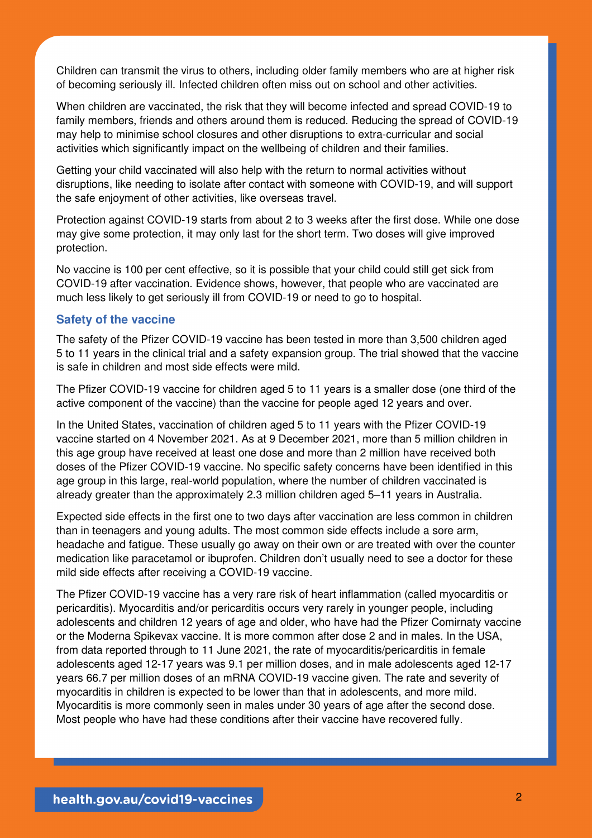Children can transmit the virus to others, including older family members who are at higher risk of becoming seriously ill. Infected children often miss out on school and other activities.

When children are vaccinated, the risk that they will become infected and spread COVID-19 to family members, friends and others around them is reduced. Reducing the spread of COVID-19 may help to minimise school closures and other disruptions to extra-curricular and social activities which significantly impact on the wellbeing of children and their families.

Getting your child vaccinated will also help with the return to normal activities without disruptions, like needing to isolate after contact with someone with COVID-19, and will support the safe enjoyment of other activities, like overseas travel.

Protection against COVID-19 starts from about 2 to 3 weeks after the first dose. While one dose may give some protection, it may only last for the short term. Two doses will give improved protection.

No vaccine is 100 per cent effective, so it is possible that your child could still get sick from COVID-19 after vaccination. Evidence shows, however, that people who are vaccinated are much less likely to get seriously ill from COVID-19 or need to go to hospital.

### **Safety of the vaccine**

The safety of the Pfizer COVID-19 vaccine has been tested in more than 3,500 children aged 5 to 11 years in the clinical trial and a safety expansion group. The trial showed that the vaccine is safe in children and most side effects were mild.

The Pfizer COVID-19 vaccine for children aged 5 to 11 years is a smaller dose (one third of the active component of the vaccine) than the vaccine for people aged 12 years and over.

In the United States, vaccination of children aged 5 to 11 years with the Pfizer COVID-19 vaccine started on 4 November 2021. As at 9 December 2021, more than 5 million children in this age group have received at least one dose and more than 2 million have received both doses of the Pfizer COVID-19 vaccine. No specific safety concerns have been identified in this age group in this large, real-world population, where the number of children vaccinated is already greater than the approximately 2.3 million children aged 5–11 years in Australia.

Expected side effects in the first one to two days after vaccination are less common in children than in teenagers and young adults. The most common side effects include a sore arm, headache and fatigue. These usually go away on their own or are treated with over the counter medication like paracetamol or ibuprofen. Children don't usually need to see a doctor for these mild side effects after receiving a COVID-19 vaccine.

The Pfizer COVID-19 vaccine has a very rare risk of heart inflammation (called myocarditis or pericarditis). Myocarditis and/or pericarditis occurs very rarely in younger people, including adolescents and children 12 years of age and older, who have had the Pfizer Comirnaty vaccine or the Moderna Spikevax vaccine. It is more common after dose 2 and in males. In the USA, from data reported through to 11 June 2021, the rate of myocarditis/pericarditis in female adolescents aged 12-17 years was 9.1 per million doses, and in male adolescents aged 12-17 years 66.7 per million doses of an mRNA COVID-19 vaccine given. The rate and severity of myocarditis in children is expected to be lower than that in adolescents, and more mild. Myocarditis is more commonly seen in males under 30 years of age after the second dose. Most people who have had these conditions after their vaccine have recovered fully.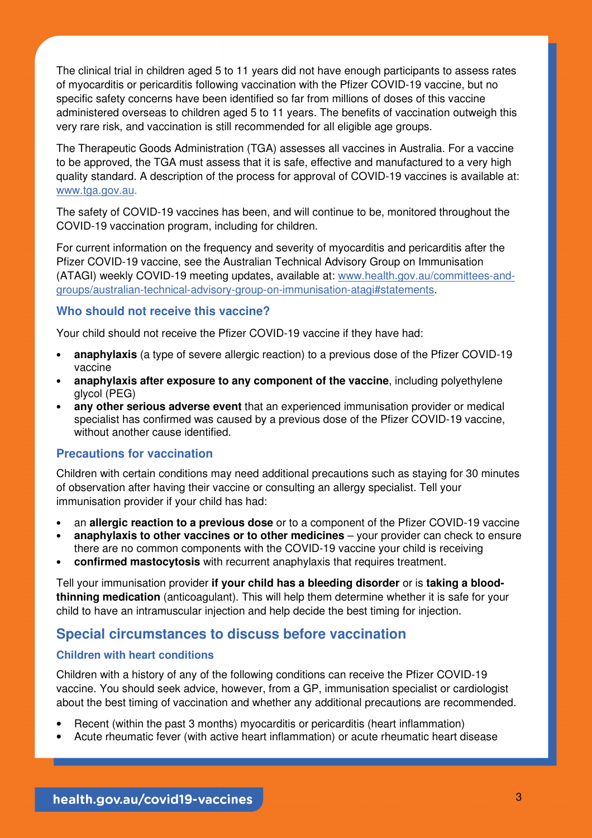The clinical trial in children aged 5 to 11 years did not have enough participants to assess rates of myocarditis or pericarditis following vaccination with the Pfizer COVID-19 vaccine, but no specific safety concerns have been identified so far from millions of doses of this vaccine administered overseas to children aged 5 to 11 years. The benefits of vaccination outweigh this very rare risk, and vaccination is still recommended for all eligible age groups.

The Therapeutic Goods Administration (TGA) assesses all vaccines in Australia. For a vaccine to be approved, the TGA must assess that it is safe, effective and manufactured to a very high quality standard. A description of the process for approval of COVID-19 vaccines is available at: www.tga.gov.au.

The safety of COVID-19 vaccines has been, and will continue to be, monitored throughout the COVID-19 vaccination program, including for children.

For current information on the frequency and severity of myocarditis and pericarditis after the Pfizer COVID-19 vaccine, see the Australian Technical Advisory Group on Immunisation (ATAGI) weekly COVID-19 meeting updates, available at: www.health.gov.au/committees-andgroups/australian-technical-advisory-group-on-immunisation-atagi#statements.

### **Who should not receive this vaccine?**

Your child should not receive the Pfizer COVID-19 vaccine if they have had:

- **anaphylaxis** (a type of severe allergic reaction) to a previous dose of the Pfizer COVID-19 vaccine
- **anaphylaxis after exposure to any component of the vaccine**, including polyethylene glycol (PEG)
- **any other serious adverse event** that an experienced immunisation provider or medical specialist has confirmed was caused by a previous dose of the Pfizer COVID-19 vaccine, without another cause identified.

## **Precautions for vaccination**

Children with certain conditions may need additional precautions such as staying for 30 minutes of observation after having their vaccine or consulting an allergy specialist. Tell your immunisation provider if your child has had:

- an **allergic reaction to a previous dose** or to a component of the Pfizer COVID-19 vaccine
- **anaphylaxis to other vaccines or to other medicines** your provider can check to ensure there are no common components with the COVID-19 vaccine your child is receiving
- **confirmed mastocytosis** with recurrent anaphylaxis that requires treatment.

Tell your immunisation provider **if your child has a bleeding disorder** or is **taking a bloodthinning medication** (anticoagulant). This will help them determine whether it is safe for your child to have an intramuscular injection and help decide the best timing for injection.

## **Special circumstances to discuss before vaccination**

#### **Children with heart conditions**

Children with a history of any of the following conditions can receive the Pfizer COVID-19 vaccine. You should seek advice, however, from a GP, immunisation specialist or cardiologist about the best timing of vaccination and whether any additional precautions are recommended.

- Recent (within the past 3 months) myocarditis or pericarditis (heart inflammation)
- Acute rheumatic fever (with active heart inflammation) or acute rheumatic heart disease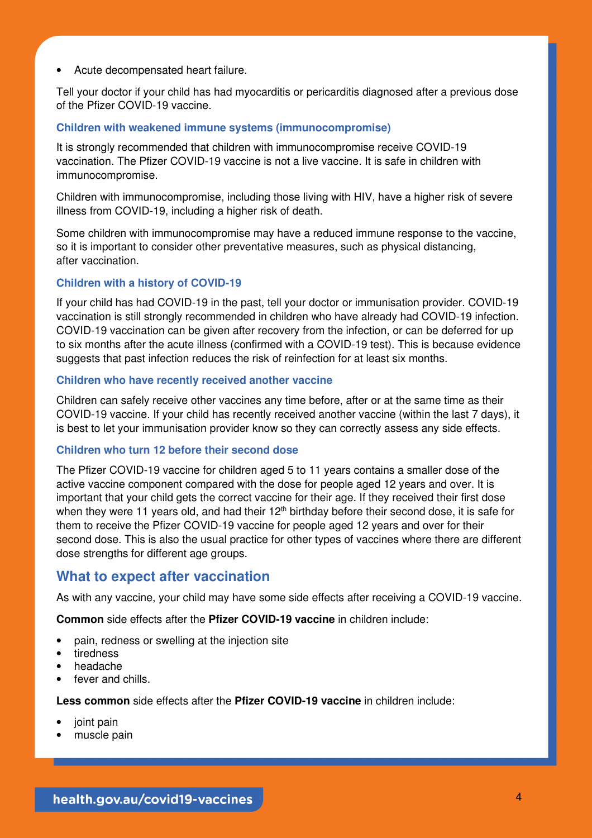• Acute decompensated heart failure.

Tell your doctor if your child has had myocarditis or pericarditis diagnosed after a previous dose of the Pfizer COVID-19 vaccine.

#### **Children with weakened immune systems (immunocompromise)**

It is strongly recommended that children with immunocompromise receive COVID-19 vaccination. The Pfizer COVID-19 vaccine is not a live vaccine. It is safe in children with immunocompromise.

Children with immunocompromise, including those living with HIV, have a higher risk of severe illness from COVID-19, including a higher risk of death.

Some children with immunocompromise may have a reduced immune response to the vaccine, so it is important to consider other preventative measures, such as physical distancing, after vaccination.

## **Children with a history of COVID-19**

If your child has had COVID-19 in the past, tell your doctor or immunisation provider. COVID-19 vaccination is still strongly recommended in children who have already had COVID-19 infection. COVID-19 vaccination can be given after recovery from the infection, or can be deferred for up to six months after the acute illness (confirmed with a COVID-19 test). This is because evidence suggests that past infection reduces the risk of reinfection for at least six months.

#### **Children who have recently received another vaccine**

Children can safely receive other vaccines any time before, after or at the same time as their COVID-19 vaccine. If your child has recently received another vaccine (within the last 7 days), it is best to let your immunisation provider know so they can correctly assess any side effects.

#### **Children who turn 12 before their second dose**

The Pfizer COVID-19 vaccine for children aged 5 to 11 years contains a smaller dose of the active vaccine component compared with the dose for people aged 12 years and over. It is important that your child gets the correct vaccine for their age. If they received their first dose when they were 11 years old, and had their 12<sup>th</sup> birthday before their second dose, it is safe for them to receive the Pfizer COVID-19 vaccine for people aged 12 years and over for their second dose. This is also the usual practice for other types of vaccines where there are different dose strengths for different age groups.

# **What to expect after vaccination**

As with any vaccine, your child may have some side effects after receiving a COVID-19 vaccine.

**Common** side effects after the **Pfizer COVID-19 vaccine** in children include:

- pain, redness or swelling at the injection site
- tiredness
- headache
- fever and chills.

**Less common** side effects after the **Pfizer COVID-19 vaccine** in children include:

- joint pain
- muscle pain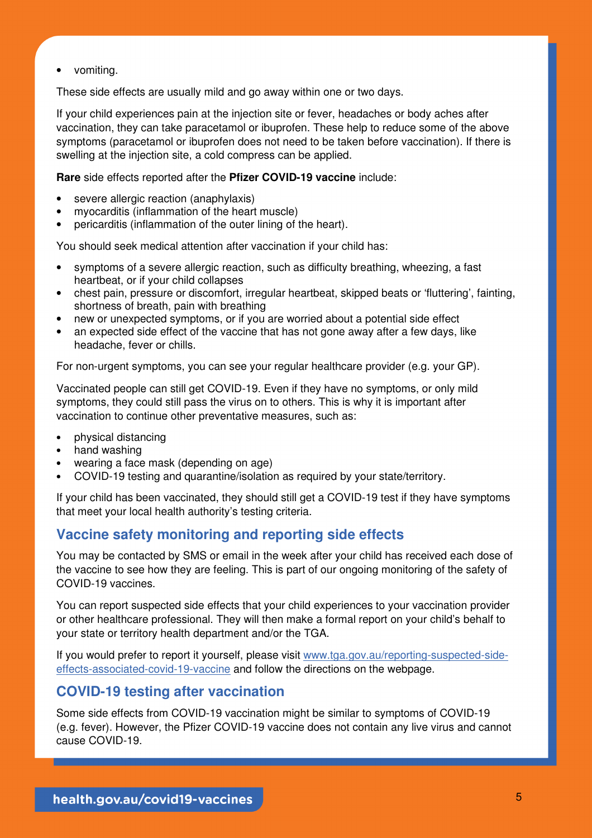• vomiting.

These side effects are usually mild and go away within one or two days.

If your child experiences pain at the injection site or fever, headaches or body aches after vaccination, they can take paracetamol or ibuprofen. These help to reduce some of the above symptoms (paracetamol or ibuprofen does not need to be taken before vaccination). If there is swelling at the injection site, a cold compress can be applied.

**Rare** side effects reported after the **Pfizer COVID-19 vaccine** include:

- severe allergic reaction (anaphylaxis)
- myocarditis (inflammation of the heart muscle)
- pericarditis (inflammation of the outer lining of the heart).

You should seek medical attention after vaccination if your child has:

- symptoms of a severe allergic reaction, such as difficulty breathing, wheezing, a fast heartbeat, or if your child collapses
- chest pain, pressure or discomfort, irregular heartbeat, skipped beats or 'fluttering', fainting, shortness of breath, pain with breathing
- new or unexpected symptoms, or if you are worried about a potential side effect
- an expected side effect of the vaccine that has not gone away after a few days, like headache, fever or chills.

For non-urgent symptoms, you can see your regular healthcare provider (e.g. your GP).

Vaccinated people can still get COVID-19. Even if they have no symptoms, or only mild symptoms, they could still pass the virus on to others. This is why it is important after vaccination to continue other preventative measures, such as:

- physical distancing
- hand washing
- wearing a face mask (depending on age)
- COVID-19 testing and quarantine/isolation as required by your state/territory.

If your child has been vaccinated, they should still get a COVID-19 test if they have symptoms that meet your local health authority's testing criteria.

# **Vaccine safety monitoring and reporting side effects**

You may be contacted by SMS or email in the week after your child has received each dose of the vaccine to see how they are feeling. This is part of our ongoing monitoring of the safety of COVID-19 vaccines.

You can report suspected side effects that your child experiences to your vaccination provider or other healthcare professional. They will then make a formal report on your child's behalf to your state or territory health department and/or the TGA.

If you would prefer to report it yourself, please visit www.tga.gov.au/reporting-suspected-sideeffects-associated-covid-19-vaccine and follow the directions on the webpage.

# **COVID-19 testing after vaccination**

Some side effects from COVID-19 vaccination might be similar to symptoms of COVID-19 (e.g. fever). However, the Pfizer COVID-19 vaccine does not contain any live virus and cannot cause COVID-19.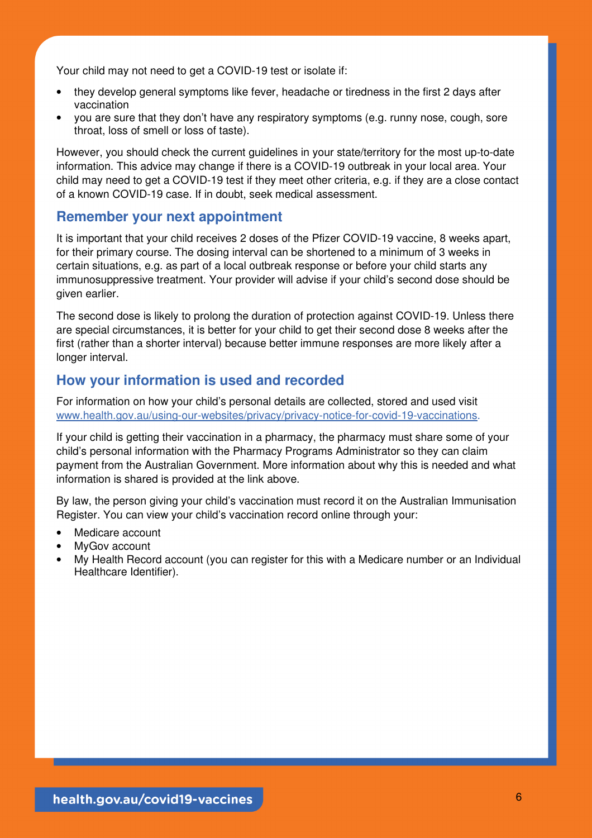Your child may not need to get a COVID-19 test or isolate if:

- they develop general symptoms like fever, headache or tiredness in the first 2 days after vaccination
- you are sure that they don't have any respiratory symptoms (e.g. runny nose, cough, sore throat, loss of smell or loss of taste).

However, you should check the current guidelines in your state/territory for the most up-to-date information. This advice may change if there is a COVID-19 outbreak in your local area. Your child may need to get a COVID-19 test if they meet other criteria, e.g. if they are a close contact of a known COVID-19 case. If in doubt, seek medical assessment.

# **Remember your next appointment**

It is important that your child receives 2 doses of the Pfizer COVID-19 vaccine, 8 weeks apart, for their primary course. The dosing interval can be shortened to a minimum of 3 weeks in certain situations, e.g. as part of a local outbreak response or before your child starts any immunosuppressive treatment. Your provider will advise if your child's second dose should be given earlier.

The second dose is likely to prolong the duration of protection against COVID-19. Unless there are special circumstances, it is better for your child to get their second dose 8 weeks after the first (rather than a shorter interval) because better immune responses are more likely after a longer interval.

# **How your information is used and recorded**

For information on how your child's personal details are collected, stored and used visit www.health.gov.au/using-our-websites/privacy/privacy-notice-for-covid-19-vaccinations.

If your child is getting their vaccination in a pharmacy, the pharmacy must share some of your child's personal information with the Pharmacy Programs Administrator so they can claim payment from the Australian Government. More information about why this is needed and what information is shared is provided at the link above.

By law, the person giving your child's vaccination must record it on the Australian Immunisation Register. You can view your child's vaccination record online through your:

- Medicare account
- MyGov account
- My Health Record account (you can register for this with a Medicare number or an Individual Healthcare Identifier).